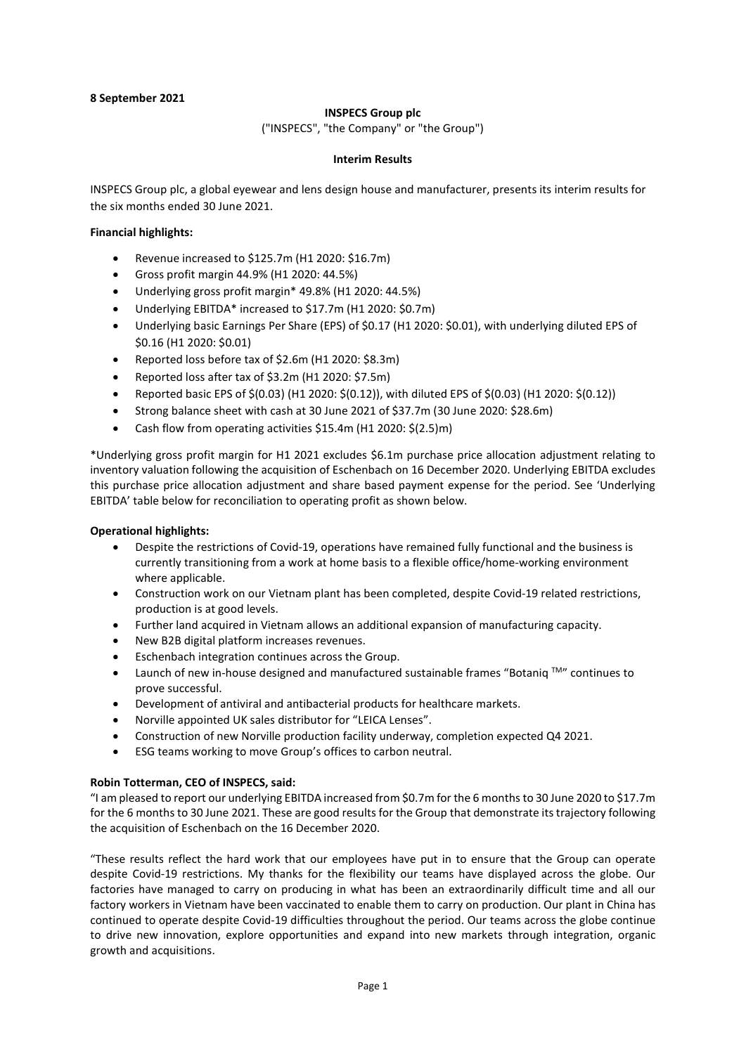## 8 September 2021

## INSPECS Group plc

("INSPECS", "the Company" or "the Group")

## Interim Results

INSPECS Group plc, a global eyewear and lens design house and manufacturer, presents its interim results for the six months ended 30 June 2021.

## Financial highlights:

- Revenue increased to \$125.7m (H1 2020: \$16.7m)
- Gross profit margin 44.9% (H1 2020: 44.5%)
- Underlying gross profit margin\* 49.8% (H1 2020: 44.5%)
- Underlying EBITDA\* increased to \$17.7m (H1 2020: \$0.7m)
- Underlying basic Earnings Per Share (EPS) of \$0.17 (H1 2020: \$0.01), with underlying diluted EPS of \$0.16 (H1 2020: \$0.01)
- Reported loss before tax of \$2.6m (H1 2020: \$8.3m)
- Reported loss after tax of \$3.2m (H1 2020: \$7.5m)
- Reported basic EPS of \$(0.03) (H1 2020: \$(0.12)), with diluted EPS of \$(0.03) (H1 2020: \$(0.12))
- Strong balance sheet with cash at 30 June 2021 of \$37.7m (30 June 2020: \$28.6m)
- Cash flow from operating activities \$15.4m (H1 2020: \$(2.5)m)

\*Underlying gross profit margin for H1 2021 excludes \$6.1m purchase price allocation adjustment relating to inventory valuation following the acquisition of Eschenbach on 16 December 2020. Underlying EBITDA excludes this purchase price allocation adjustment and share based payment expense for the period. See 'Underlying EBITDA' table below for reconciliation to operating profit as shown below.

### Operational highlights:

- Despite the restrictions of Covid-19, operations have remained fully functional and the business is currently transitioning from a work at home basis to a flexible office/home-working environment where applicable.
- Construction work on our Vietnam plant has been completed, despite Covid-19 related restrictions, production is at good levels.
- Further land acquired in Vietnam allows an additional expansion of manufacturing capacity.
- New B2B digital platform increases revenues.
- Eschenbach integration continues across the Group.
- Launch of new in-house designed and manufactured sustainable frames "Botaniq  $\text{TM}$ " continues to prove successful.
- Development of antiviral and antibacterial products for healthcare markets.
- Norville appointed UK sales distributor for "LEICA Lenses".
- Construction of new Norville production facility underway, completion expected Q4 2021.
- ESG teams working to move Group's offices to carbon neutral.

## Robin Totterman, CEO of INSPECS, said:

"I am pleased to report our underlying EBITDA increased from \$0.7m for the 6 months to 30 June 2020 to \$17.7m for the 6 months to 30 June 2021. These are good results for the Group that demonstrate its trajectory following the acquisition of Eschenbach on the 16 December 2020.

"These results reflect the hard work that our employees have put in to ensure that the Group can operate despite Covid-19 restrictions. My thanks for the flexibility our teams have displayed across the globe. Our factories have managed to carry on producing in what has been an extraordinarily difficult time and all our factory workers in Vietnam have been vaccinated to enable them to carry on production. Our plant in China has continued to operate despite Covid-19 difficulties throughout the period. Our teams across the globe continue to drive new innovation, explore opportunities and expand into new markets through integration, organic growth and acquisitions.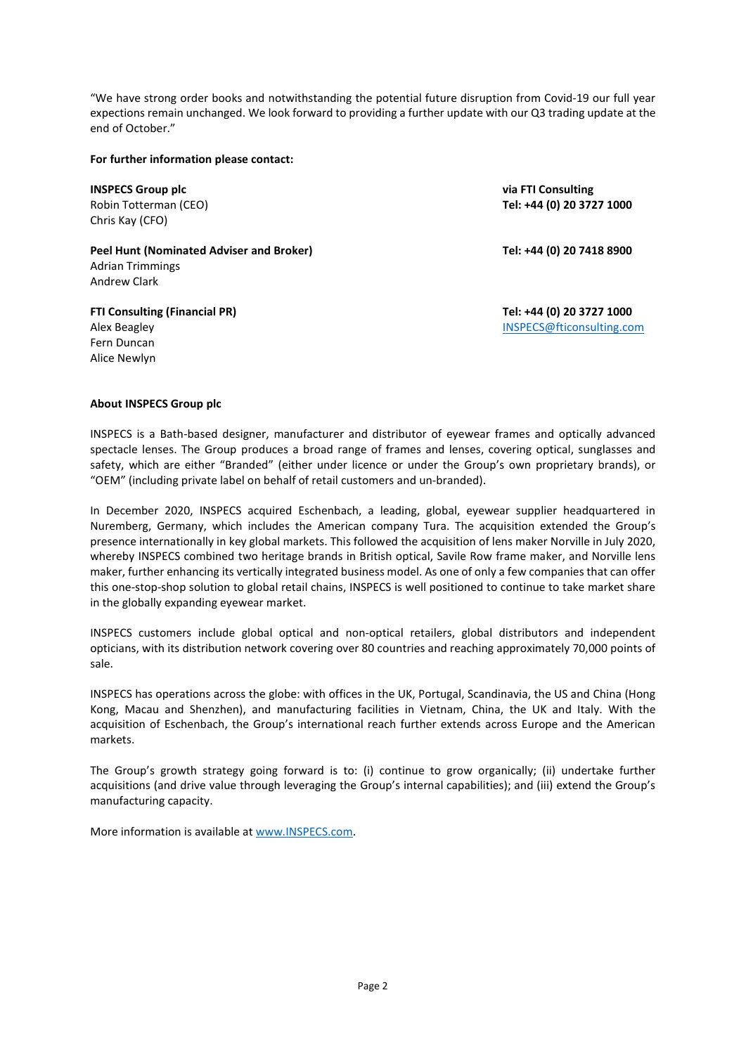"We have strong order books and notwithstanding the potential future disruption from Covid-19 our full year expections remain unchanged. We look forward to providing a further update with our Q3 trading update at the end of October."

## For further information please contact:

INSPECS Group plc Robin Totterman (CEO) Chris Kay (CFO)

Peel Hunt (Nominated Adviser and Broker) Adrian Trimmings Andrew Clark

FTI Consulting (Financial PR) Alex Beagley Fern Duncan Alice Newlyn

via FTI Consulting Tel: +44 (0) 20 3727 1000

Tel: +44 (0) 20 7418 8900

Tel: +44 (0) 20 3727 1000 INSPECS@fticonsulting.com

## About INSPECS Group plc

INSPECS is a Bath-based designer, manufacturer and distributor of eyewear frames and optically advanced spectacle lenses. The Group produces a broad range of frames and lenses, covering optical, sunglasses and safety, which are either "Branded" (either under licence or under the Group's own proprietary brands), or "OEM" (including private label on behalf of retail customers and un-branded).

In December 2020, INSPECS acquired Eschenbach, a leading, global, eyewear supplier headquartered in Nuremberg, Germany, which includes the American company Tura. The acquisition extended the Group's presence internationally in key global markets. This followed the acquisition of lens maker Norville in July 2020, whereby INSPECS combined two heritage brands in British optical, Savile Row frame maker, and Norville lens maker, further enhancing its vertically integrated business model. As one of only a few companies that can offer this one-stop-shop solution to global retail chains, INSPECS is well positioned to continue to take market share in the globally expanding eyewear market.

INSPECS customers include global optical and non-optical retailers, global distributors and independent opticians, with its distribution network covering over 80 countries and reaching approximately 70,000 points of sale.

INSPECS has operations across the globe: with offices in the UK, Portugal, Scandinavia, the US and China (Hong Kong, Macau and Shenzhen), and manufacturing facilities in Vietnam, China, the UK and Italy. With the acquisition of Eschenbach, the Group's international reach further extends across Europe and the American markets.

The Group's growth strategy going forward is to: (i) continue to grow organically; (ii) undertake further acquisitions (and drive value through leveraging the Group's internal capabilities); and (iii) extend the Group's manufacturing capacity.

More information is available at www.INSPECS.com.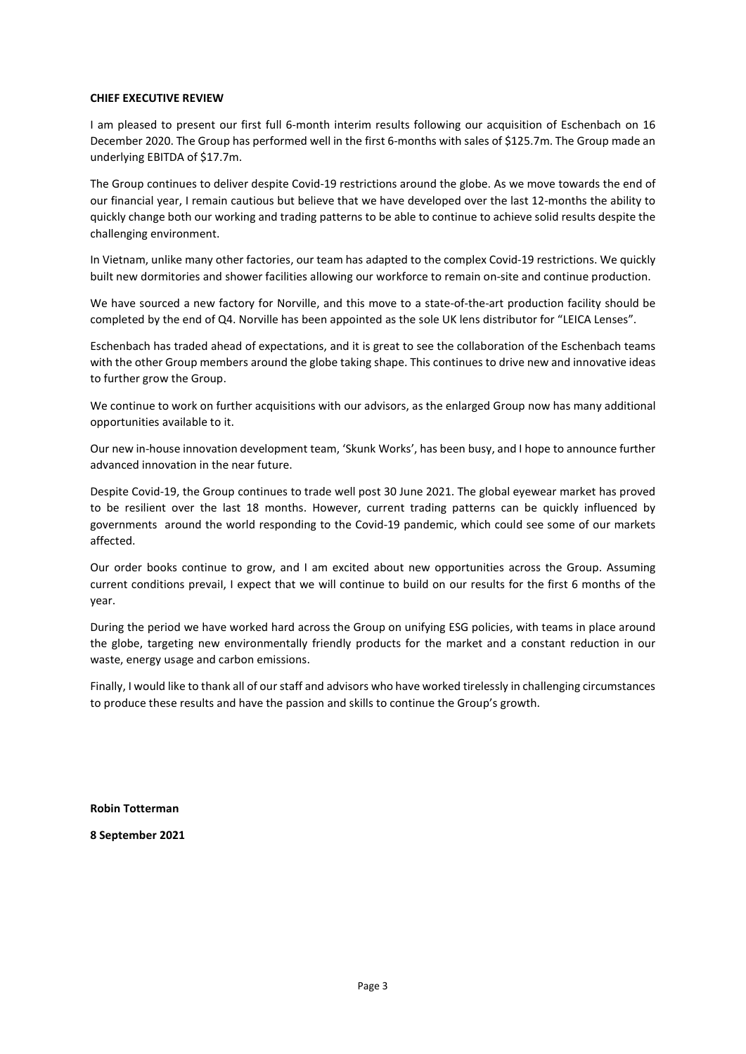#### CHIEF EXECUTIVE REVIEW

I am pleased to present our first full 6-month interim results following our acquisition of Eschenbach on 16 December 2020. The Group has performed well in the first 6-months with sales of \$125.7m. The Group made an underlying EBITDA of \$17.7m.

The Group continues to deliver despite Covid-19 restrictions around the globe. As we move towards the end of our financial year, I remain cautious but believe that we have developed over the last 12-months the ability to quickly change both our working and trading patterns to be able to continue to achieve solid results despite the challenging environment.

In Vietnam, unlike many other factories, our team has adapted to the complex Covid-19 restrictions. We quickly built new dormitories and shower facilities allowing our workforce to remain on-site and continue production.

We have sourced a new factory for Norville, and this move to a state-of-the-art production facility should be completed by the end of Q4. Norville has been appointed as the sole UK lens distributor for "LEICA Lenses".

Eschenbach has traded ahead of expectations, and it is great to see the collaboration of the Eschenbach teams with the other Group members around the globe taking shape. This continues to drive new and innovative ideas to further grow the Group.

We continue to work on further acquisitions with our advisors, as the enlarged Group now has many additional opportunities available to it.

Our new in-house innovation development team, 'Skunk Works', has been busy, and I hope to announce further advanced innovation in the near future.

Despite Covid-19, the Group continues to trade well post 30 June 2021. The global eyewear market has proved to be resilient over the last 18 months. However, current trading patterns can be quickly influenced by governments around the world responding to the Covid-19 pandemic, which could see some of our markets affected.

Our order books continue to grow, and I am excited about new opportunities across the Group. Assuming current conditions prevaiI, I expect that we will continue to build on our results for the first 6 months of the year.

During the period we have worked hard across the Group on unifying ESG policies, with teams in place around the globe, targeting new environmentally friendly products for the market and a constant reduction in our waste, energy usage and carbon emissions.

Finally, I would like to thank all of our staff and advisors who have worked tirelessly in challenging circumstances to produce these results and have the passion and skills to continue the Group's growth.

Robin Totterman

8 September 2021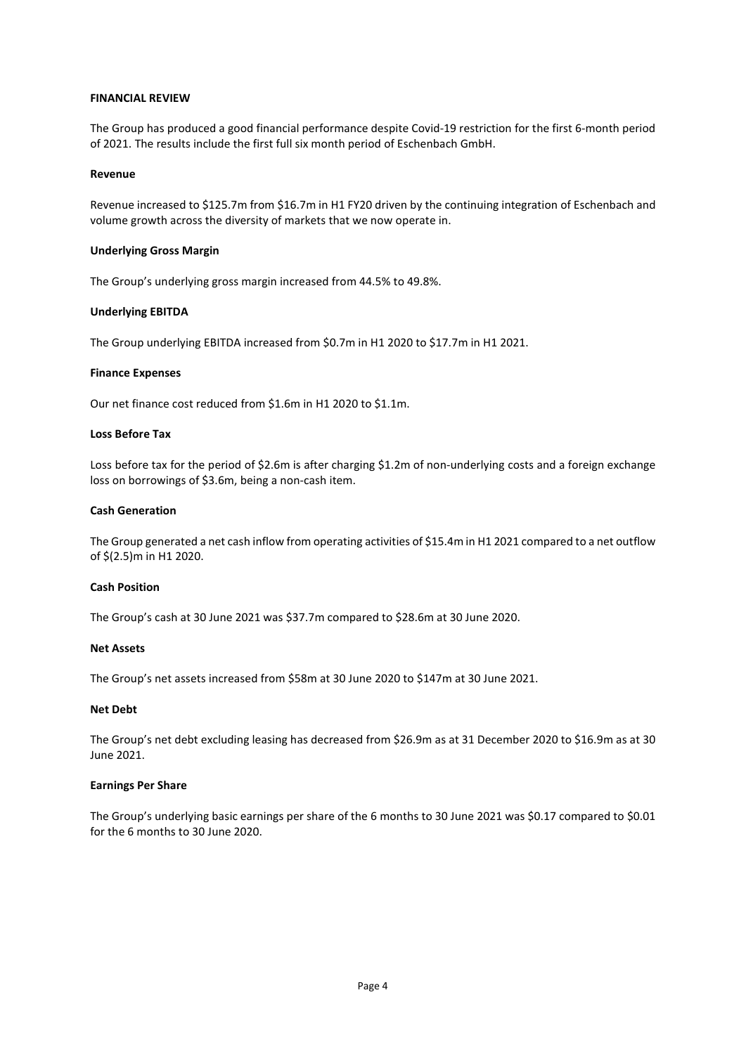### FINANCIAL REVIEW

The Group has produced a good financial performance despite Covid-19 restriction for the first 6-month period of 2021. The results include the first full six month period of Eschenbach GmbH.

#### Revenue

Revenue increased to \$125.7m from \$16.7m in H1 FY20 driven by the continuing integration of Eschenbach and volume growth across the diversity of markets that we now operate in.

#### Underlying Gross Margin

The Group's underlying gross margin increased from 44.5% to 49.8%.

### Underlying EBITDA

The Group underlying EBITDA increased from \$0.7m in H1 2020 to \$17.7m in H1 2021.

### Finance Expenses

Our net finance cost reduced from \$1.6m in H1 2020 to \$1.1m.

### Loss Before Tax

Loss before tax for the period of \$2.6m is after charging \$1.2m of non-underlying costs and a foreign exchange loss on borrowings of \$3.6m, being a non-cash item.

### Cash Generation

The Group generated a net cash inflow from operating activities of \$15.4m in H1 2021 compared to a net outflow of \$(2.5)m in H1 2020.

### Cash Position

The Group's cash at 30 June 2021 was \$37.7m compared to \$28.6m at 30 June 2020.

#### Net Assets

The Group's net assets increased from \$58m at 30 June 2020 to \$147m at 30 June 2021.

#### Net Debt

The Group's net debt excluding leasing has decreased from \$26.9m as at 31 December 2020 to \$16.9m as at 30 June 2021.

### Earnings Per Share

The Group's underlying basic earnings per share of the 6 months to 30 June 2021 was \$0.17 compared to \$0.01 for the 6 months to 30 June 2020.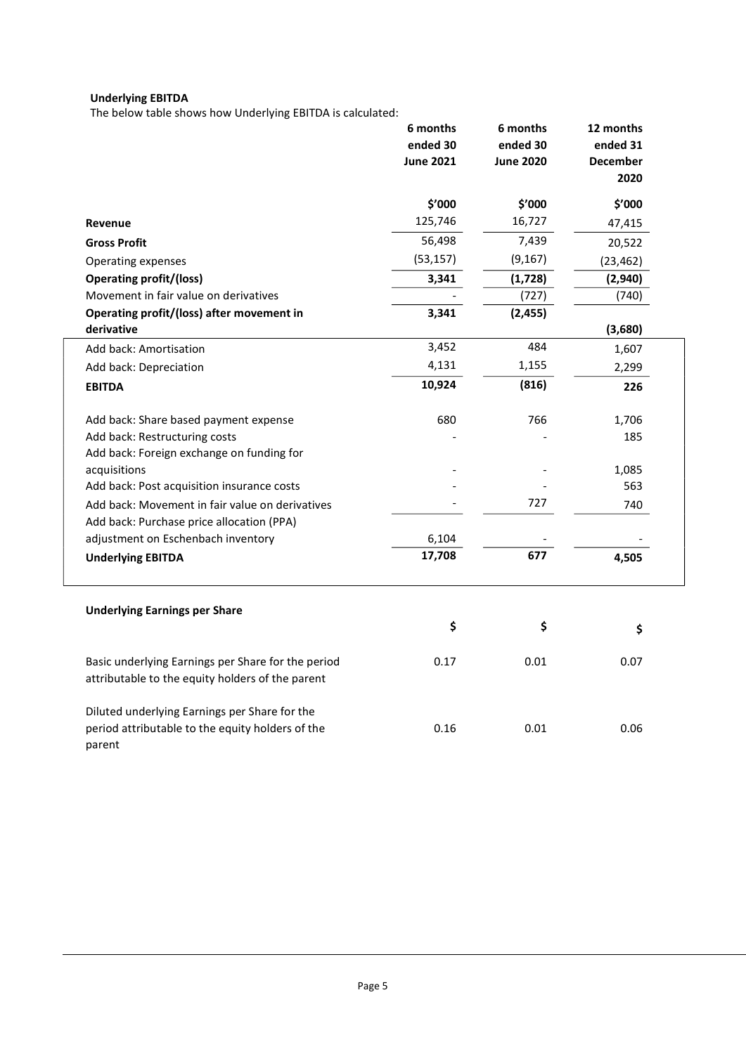# Underlying EBITDA

The below table shows how Underlying EBITDA is calculated:

|                                                                                                        | 6 months<br>ended 30<br><b>June 2021</b> | 6 months<br>ended 30<br><b>June 2020</b> | 12 months<br>ended 31<br><b>December</b><br>2020 |
|--------------------------------------------------------------------------------------------------------|------------------------------------------|------------------------------------------|--------------------------------------------------|
|                                                                                                        | \$'000                                   | \$'000                                   | \$'000                                           |
| Revenue                                                                                                | 125,746                                  | 16,727                                   | 47,415                                           |
| <b>Gross Profit</b>                                                                                    | 56,498                                   | 7,439                                    | 20,522                                           |
| Operating expenses                                                                                     | (53, 157)                                | (9, 167)                                 | (23, 462)                                        |
| <b>Operating profit/(loss)</b>                                                                         | 3,341                                    | (1,728)                                  | (2,940)                                          |
| Movement in fair value on derivatives                                                                  |                                          | (727)                                    | (740)                                            |
| Operating profit/(loss) after movement in                                                              | 3,341                                    | (2, 455)                                 |                                                  |
| derivative                                                                                             |                                          |                                          | (3,680)                                          |
| Add back: Amortisation                                                                                 | 3,452                                    | 484                                      | 1,607                                            |
| Add back: Depreciation                                                                                 | 4,131                                    | 1,155                                    | 2,299                                            |
| <b>EBITDA</b>                                                                                          | 10,924                                   | (816)                                    | 226                                              |
| Add back: Share based payment expense                                                                  | 680                                      | 766                                      | 1,706                                            |
| Add back: Restructuring costs                                                                          |                                          |                                          | 185                                              |
| Add back: Foreign exchange on funding for                                                              |                                          |                                          |                                                  |
| acquisitions                                                                                           |                                          |                                          | 1,085                                            |
| Add back: Post acquisition insurance costs                                                             |                                          |                                          | 563                                              |
| Add back: Movement in fair value on derivatives                                                        |                                          | 727                                      | 740                                              |
| Add back: Purchase price allocation (PPA)                                                              |                                          |                                          |                                                  |
| adjustment on Eschenbach inventory                                                                     | 6,104                                    |                                          |                                                  |
| <b>Underlying EBITDA</b>                                                                               | 17,708                                   | 677                                      | 4,505                                            |
| <b>Underlying Earnings per Share</b>                                                                   |                                          |                                          |                                                  |
|                                                                                                        | \$                                       | \$                                       | \$                                               |
| Basic underlying Earnings per Share for the period<br>attributable to the equity holders of the parent | 0.17                                     | 0.01                                     | 0.07                                             |
| Diluted underlying Earnings per Share for the                                                          |                                          |                                          |                                                  |
| period attributable to the equity holders of the<br>parent                                             | 0.16                                     | 0.01                                     | 0.06                                             |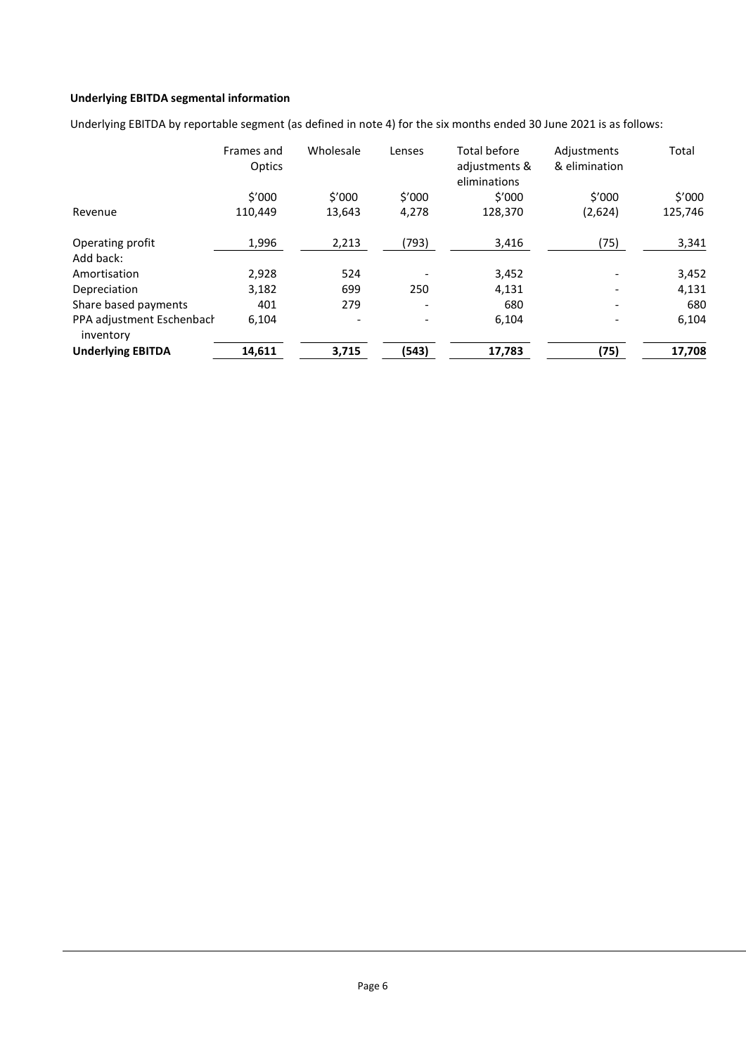## Underlying EBITDA segmental information

Underlying EBITDA by reportable segment (as defined in note 4) for the six months ended 30 June 2021 is as follows:

|                                        | Frames and<br>Optics | Wholesale | Lenses | Total before<br>adjustments &<br>eliminations | Adjustments<br>& elimination | Total   |
|----------------------------------------|----------------------|-----------|--------|-----------------------------------------------|------------------------------|---------|
|                                        | \$′000               | \$′000    | \$'000 | \$′000                                        | \$'000                       | \$′000  |
| Revenue                                | 110,449              | 13,643    | 4,278  | 128,370                                       | (2,624)                      | 125,746 |
| Operating profit                       | 1,996                | 2,213     | (793)  | 3,416                                         | (75)                         | 3,341   |
| Add back:                              |                      |           |        |                                               |                              |         |
| Amortisation                           | 2.928                | 524       |        | 3,452                                         |                              | 3,452   |
| Depreciation                           | 3,182                | 699       | 250    | 4,131                                         |                              | 4,131   |
| Share based payments                   | 401                  | 279       |        | 680                                           |                              | 680     |
| PPA adjustment Eschenbach<br>inventory | 6,104                |           |        | 6,104                                         |                              | 6,104   |
| <b>Underlying EBITDA</b>               | 14,611               | 3,715     | (543)  | 17,783                                        | (75)                         | 17,708  |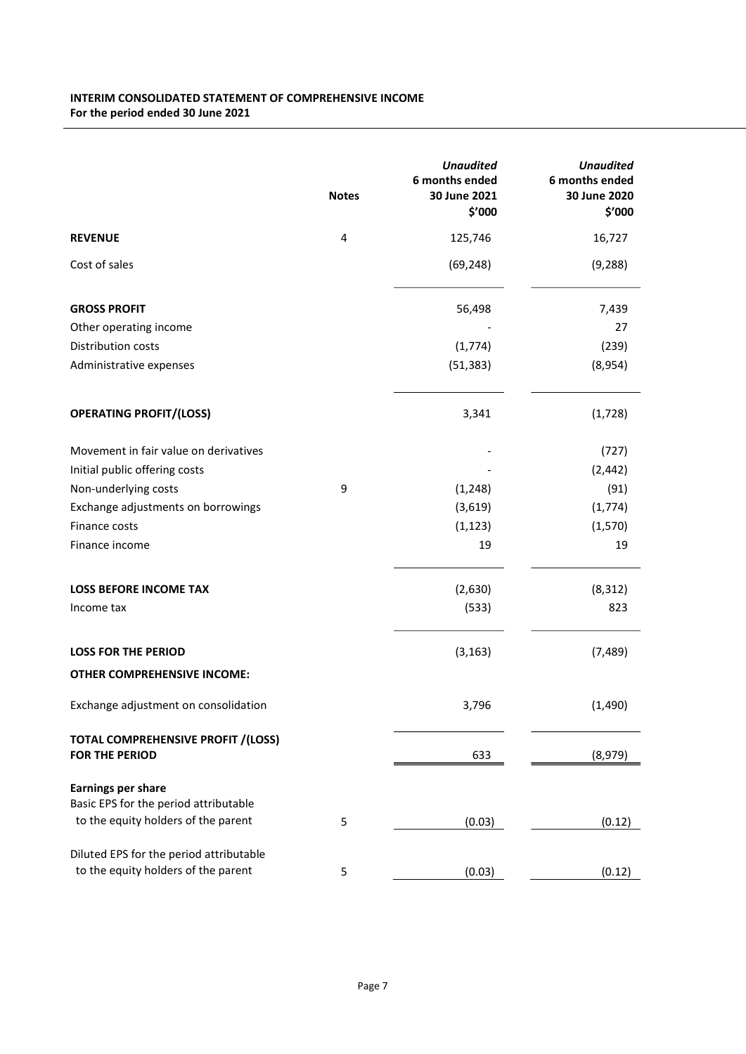## INTERIM CONSOLIDATED STATEMENT OF COMPREHENSIVE INCOME For the period ended 30 June 2021

|                                                                    | <b>Notes</b> | <b>Unaudited</b><br>6 months ended<br>30 June 2021<br>\$'000 | <b>Unaudited</b><br>6 months ended<br>30 June 2020<br>\$'000 |
|--------------------------------------------------------------------|--------------|--------------------------------------------------------------|--------------------------------------------------------------|
| <b>REVENUE</b>                                                     | 4            | 125,746                                                      | 16,727                                                       |
| Cost of sales                                                      |              | (69, 248)                                                    | (9, 288)                                                     |
| <b>GROSS PROFIT</b>                                                |              | 56,498                                                       | 7,439                                                        |
| Other operating income                                             |              |                                                              | 27                                                           |
| Distribution costs                                                 |              | (1,774)                                                      | (239)                                                        |
| Administrative expenses                                            |              | (51, 383)                                                    | (8,954)                                                      |
| <b>OPERATING PROFIT/(LOSS)</b>                                     |              | 3,341                                                        | (1,728)                                                      |
| Movement in fair value on derivatives                              |              |                                                              | (727)                                                        |
| Initial public offering costs                                      |              |                                                              | (2, 442)                                                     |
| Non-underlying costs                                               | 9            | (1, 248)                                                     | (91)                                                         |
| Exchange adjustments on borrowings                                 |              | (3,619)                                                      | (1, 774)                                                     |
| Finance costs                                                      |              | (1, 123)                                                     | (1, 570)                                                     |
| Finance income                                                     |              | 19                                                           | 19                                                           |
| <b>LOSS BEFORE INCOME TAX</b>                                      |              | (2,630)                                                      | (8, 312)                                                     |
| Income tax                                                         |              | (533)                                                        | 823                                                          |
| <b>LOSS FOR THE PERIOD</b>                                         |              | (3, 163)                                                     | (7, 489)                                                     |
| <b>OTHER COMPREHENSIVE INCOME:</b>                                 |              |                                                              |                                                              |
| Exchange adjustment on consolidation                               |              | 3,796                                                        | (1, 490)                                                     |
| <b>TOTAL COMPREHENSIVE PROFIT /(LOSS)</b><br><b>FOR THE PERIOD</b> |              | 633                                                          | (8,979)                                                      |
| <b>Earnings per share</b>                                          |              |                                                              |                                                              |
| Basic EPS for the period attributable                              |              |                                                              |                                                              |
| to the equity holders of the parent                                | 5            | (0.03)                                                       | (0.12)                                                       |
| Diluted EPS for the period attributable                            |              |                                                              |                                                              |
| to the equity holders of the parent                                | 5            | (0.03)                                                       | (0.12)                                                       |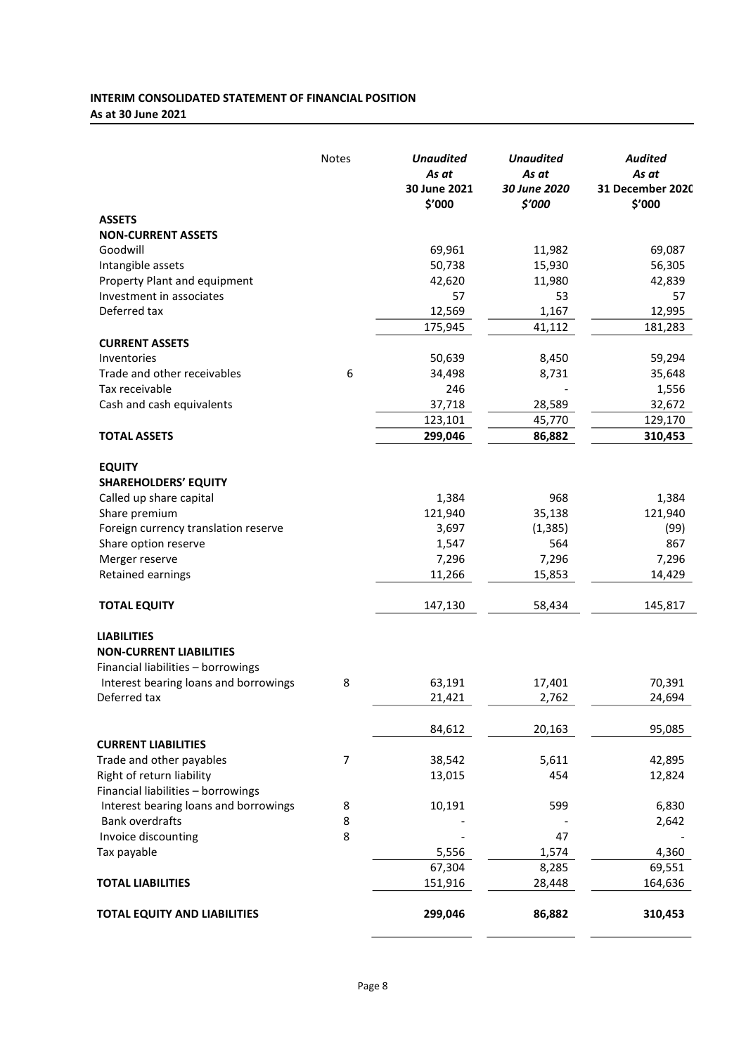## INTERIM CONSOLIDATED STATEMENT OF FINANCIAL POSITION As at 30 June 2021

| <b>ASSETS</b><br><b>NON-CURRENT ASSETS</b><br>Goodwill<br>Intangible assets<br>Property Plant and equipment<br>Investment in associates<br>Deferred tax<br><b>CURRENT ASSETS</b><br>Inventories<br>Trade and other receivables<br>Tax receivable<br>Cash and cash equivalents<br><b>TOTAL ASSETS</b> | <b>Notes</b>   | <b>Unaudited</b><br>As at | <b>Unaudited</b><br>As at | <b>Audited</b><br>As at    |
|------------------------------------------------------------------------------------------------------------------------------------------------------------------------------------------------------------------------------------------------------------------------------------------------------|----------------|---------------------------|---------------------------|----------------------------|
|                                                                                                                                                                                                                                                                                                      |                | 30 June 2021<br>\$'000    | 30 June 2020<br>\$'000    | 31 December 2020<br>\$'000 |
|                                                                                                                                                                                                                                                                                                      |                |                           |                           |                            |
|                                                                                                                                                                                                                                                                                                      |                |                           |                           |                            |
|                                                                                                                                                                                                                                                                                                      |                | 69,961                    | 11,982                    | 69,087                     |
|                                                                                                                                                                                                                                                                                                      |                | 50,738                    | 15,930                    | 56,305                     |
|                                                                                                                                                                                                                                                                                                      |                | 42,620                    | 11,980                    | 42,839                     |
|                                                                                                                                                                                                                                                                                                      |                | 57                        | 53                        | 57                         |
|                                                                                                                                                                                                                                                                                                      |                | 12,569                    | 1,167                     | 12,995                     |
|                                                                                                                                                                                                                                                                                                      |                | 175,945                   | 41,112                    | 181,283                    |
|                                                                                                                                                                                                                                                                                                      |                |                           |                           |                            |
|                                                                                                                                                                                                                                                                                                      |                | 50,639                    | 8,450                     | 59,294                     |
|                                                                                                                                                                                                                                                                                                      | 6              | 34,498                    | 8,731                     | 35,648                     |
|                                                                                                                                                                                                                                                                                                      |                | 246                       |                           | 1,556                      |
|                                                                                                                                                                                                                                                                                                      |                | 37,718                    | 28,589                    | 32,672                     |
|                                                                                                                                                                                                                                                                                                      |                | 123,101                   | 45,770                    | 129,170                    |
|                                                                                                                                                                                                                                                                                                      |                | 299,046                   | 86,882                    | 310,453                    |
| <b>EQUITY</b>                                                                                                                                                                                                                                                                                        |                |                           |                           |                            |
| <b>SHAREHOLDERS' EQUITY</b>                                                                                                                                                                                                                                                                          |                |                           |                           |                            |
| Called up share capital                                                                                                                                                                                                                                                                              |                | 1,384                     | 968                       | 1,384                      |
| Share premium                                                                                                                                                                                                                                                                                        |                | 121,940                   | 35,138                    | 121,940                    |
| Foreign currency translation reserve                                                                                                                                                                                                                                                                 |                | 3,697                     | (1, 385)                  | (99)                       |
| Share option reserve                                                                                                                                                                                                                                                                                 |                | 1,547                     | 564                       | 867                        |
| Merger reserve                                                                                                                                                                                                                                                                                       |                | 7,296                     | 7,296                     | 7,296                      |
| Retained earnings                                                                                                                                                                                                                                                                                    |                | 11,266                    | 15,853                    | 14,429                     |
| <b>TOTAL EQUITY</b>                                                                                                                                                                                                                                                                                  |                | 147,130                   | 58,434                    | 145,817                    |
| <b>LIABILITIES</b>                                                                                                                                                                                                                                                                                   |                |                           |                           |                            |
| <b>NON-CURRENT LIABILITIES</b>                                                                                                                                                                                                                                                                       |                |                           |                           |                            |
| Financial liabilities - borrowings                                                                                                                                                                                                                                                                   |                |                           |                           |                            |
| Interest bearing loans and borrowings                                                                                                                                                                                                                                                                | 8              | 63,191                    | 17,401                    | 70,391                     |
| Deferred tax                                                                                                                                                                                                                                                                                         |                | 21,421                    | 2,762                     | 24,694                     |
|                                                                                                                                                                                                                                                                                                      |                | 84,612                    | 20,163                    | 95,085                     |
| <b>CURRENT LIABILITIES</b>                                                                                                                                                                                                                                                                           |                |                           |                           |                            |
| Trade and other payables                                                                                                                                                                                                                                                                             | $\overline{7}$ | 38,542                    | 5,611                     | 42,895                     |
| Right of return liability                                                                                                                                                                                                                                                                            |                | 13,015                    | 454                       | 12,824                     |
| Financial liabilities - borrowings                                                                                                                                                                                                                                                                   |                |                           |                           |                            |
| Interest bearing loans and borrowings                                                                                                                                                                                                                                                                | 8              | 10,191                    | 599                       | 6,830                      |
| <b>Bank overdrafts</b>                                                                                                                                                                                                                                                                               | 8              |                           |                           | 2,642                      |
| Invoice discounting                                                                                                                                                                                                                                                                                  | 8              |                           | 47                        |                            |
| Tax payable                                                                                                                                                                                                                                                                                          |                | 5,556                     | 1,574                     | 4,360                      |
|                                                                                                                                                                                                                                                                                                      |                | 67,304                    | 8,285                     | 69,551                     |
| <b>TOTAL LIABILITIES</b>                                                                                                                                                                                                                                                                             |                | 151,916                   | 28,448                    | 164,636                    |
| <b>TOTAL EQUITY AND LIABILITIES</b>                                                                                                                                                                                                                                                                  |                |                           |                           |                            |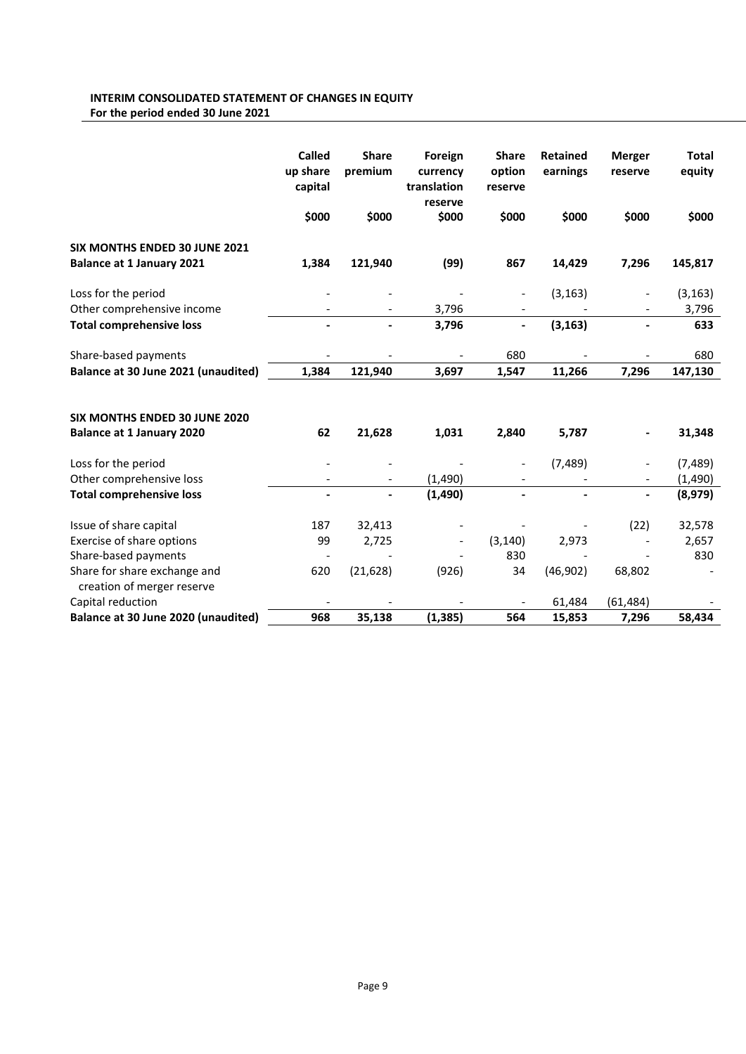## INTERIM CONSOLIDATED STATEMENT OF CHANGES IN EQUITY For the period ended 30 June 2021

|                                                            | <b>Called</b><br>up share<br>capital | <b>Share</b><br>premium | Foreign<br>currency<br>translation<br>reserve | <b>Share</b><br>option<br>reserve | <b>Retained</b><br>earnings | <b>Merger</b><br>reserve | <b>Total</b><br>equity |
|------------------------------------------------------------|--------------------------------------|-------------------------|-----------------------------------------------|-----------------------------------|-----------------------------|--------------------------|------------------------|
|                                                            | \$000                                | \$000                   | \$000                                         | \$000                             | \$000                       | \$000                    | \$000                  |
| <b>SIX MONTHS ENDED 30 JUNE 2021</b>                       |                                      |                         |                                               |                                   |                             |                          |                        |
| <b>Balance at 1 January 2021</b>                           | 1,384                                | 121,940                 | (99)                                          | 867                               | 14,429                      | 7,296                    | 145,817                |
| Loss for the period                                        |                                      |                         |                                               |                                   | (3, 163)                    |                          | (3, 163)               |
| Other comprehensive income                                 |                                      |                         | 3,796                                         | $\overline{\phantom{a}}$          |                             |                          | 3,796                  |
| <b>Total comprehensive loss</b>                            |                                      |                         | 3,796                                         | $\overline{\phantom{a}}$          | (3, 163)                    |                          | 633                    |
| Share-based payments                                       |                                      |                         |                                               | 680                               |                             |                          | 680                    |
| Balance at 30 June 2021 (unaudited)                        | 1,384                                | 121,940                 | 3,697                                         | 1,547                             | 11,266                      | 7,296                    | 147,130                |
|                                                            |                                      |                         |                                               |                                   |                             |                          |                        |
| SIX MONTHS ENDED 30 JUNE 2020                              |                                      |                         |                                               |                                   |                             |                          |                        |
| <b>Balance at 1 January 2020</b>                           | 62                                   | 21,628                  | 1,031                                         | 2,840                             | 5,787                       |                          | 31,348                 |
| Loss for the period                                        |                                      |                         |                                               |                                   | (7, 489)                    |                          | (7, 489)               |
| Other comprehensive loss                                   |                                      |                         | (1,490)                                       |                                   |                             | $\overline{\phantom{m}}$ | (1,490)                |
| <b>Total comprehensive loss</b>                            |                                      |                         | (1, 490)                                      | $\overline{\phantom{a}}$          |                             | $\overline{\phantom{a}}$ | (8,979)                |
| Issue of share capital                                     | 187                                  | 32,413                  |                                               |                                   |                             | (22)                     | 32,578                 |
| Exercise of share options                                  | 99                                   | 2,725                   |                                               | (3, 140)                          | 2,973                       |                          | 2,657                  |
| Share-based payments                                       |                                      |                         |                                               | 830                               |                             |                          | 830                    |
| Share for share exchange and<br>creation of merger reserve | 620                                  | (21, 628)               | (926)                                         | 34                                | (46, 902)                   | 68,802                   |                        |
| Capital reduction                                          |                                      |                         |                                               |                                   | 61,484                      | (61, 484)                |                        |
| Balance at 30 June 2020 (unaudited)                        | 968                                  | 35,138                  | (1, 385)                                      | 564                               | 15,853                      | 7,296                    | 58,434                 |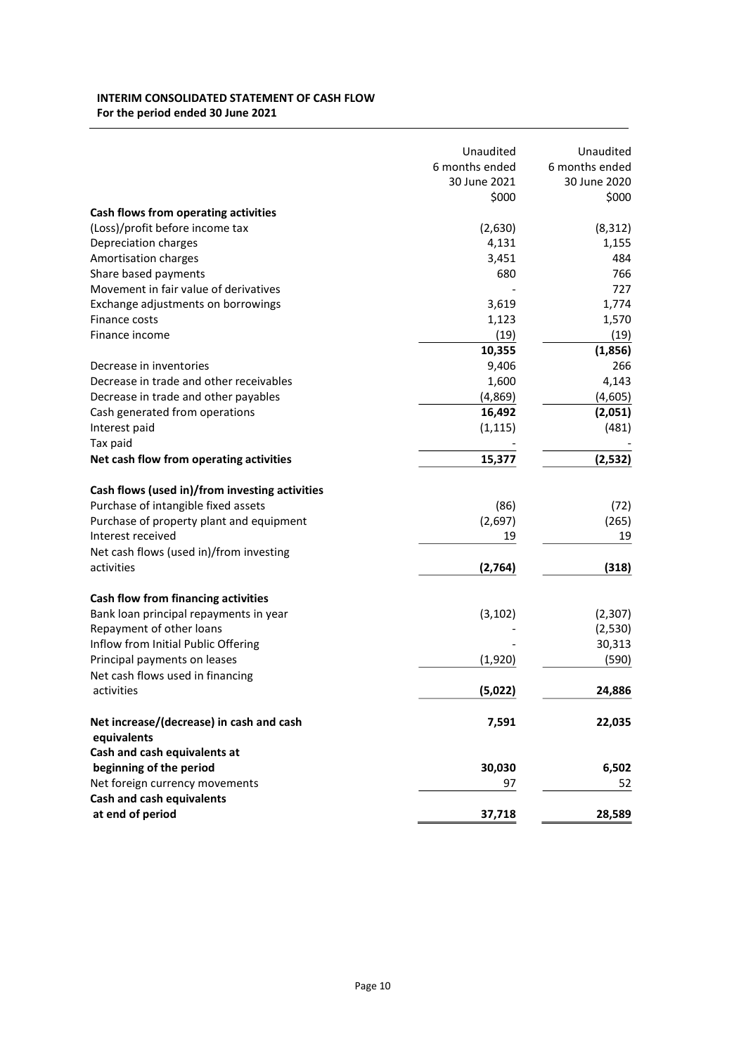## INTERIM CONSOLIDATED STATEMENT OF CASH FLOW For the period ended 30 June 2021

|                                                | Unaudited      | Unaudited      |
|------------------------------------------------|----------------|----------------|
|                                                | 6 months ended | 6 months ended |
|                                                | 30 June 2021   | 30 June 2020   |
|                                                | \$000          | \$000          |
| Cash flows from operating activities           |                |                |
| (Loss)/profit before income tax                | (2,630)        | (8, 312)       |
| Depreciation charges                           | 4,131          | 1,155          |
| Amortisation charges                           | 3,451          | 484            |
| Share based payments                           | 680            | 766            |
| Movement in fair value of derivatives          |                | 727            |
| Exchange adjustments on borrowings             | 3,619          | 1,774          |
| Finance costs                                  | 1,123          | 1,570          |
| Finance income                                 | (19)           | (19)           |
|                                                | 10,355         | (1,856)        |
| Decrease in inventories                        | 9,406          | 266            |
| Decrease in trade and other receivables        | 1,600          | 4,143          |
| Decrease in trade and other payables           | (4,869)        | (4,605)        |
| Cash generated from operations                 | 16,492         | (2,051)        |
| Interest paid                                  | (1, 115)       | (481)          |
| Tax paid                                       |                |                |
| Net cash flow from operating activities        | 15,377         | (2,532)        |
|                                                |                |                |
| Cash flows (used in)/from investing activities |                |                |
| Purchase of intangible fixed assets            | (86)           | (72)           |
| Purchase of property plant and equipment       | (2,697)        | (265)          |
| Interest received                              | 19             | 19             |
| Net cash flows (used in)/from investing        |                |                |
| activities                                     | (2,764)        | (318)          |
| Cash flow from financing activities            |                |                |
| Bank loan principal repayments in year         | (3, 102)       | (2,307)        |
| Repayment of other loans                       |                | (2,530)        |
| Inflow from Initial Public Offering            |                | 30,313         |
| Principal payments on leases                   | (1,920)        | (590)          |
|                                                |                |                |
| Net cash flows used in financing<br>activities | (5,022)        | 24,886         |
|                                                |                |                |
| Net increase/(decrease) in cash and cash       | 7,591          | 22,035         |
| equivalents                                    |                |                |
| Cash and cash equivalents at                   |                |                |
| beginning of the period                        | 30,030         | 6,502          |
| Net foreign currency movements                 | 97             | 52             |
| Cash and cash equivalents                      |                |                |
| at end of period                               | 37,718         | 28,589         |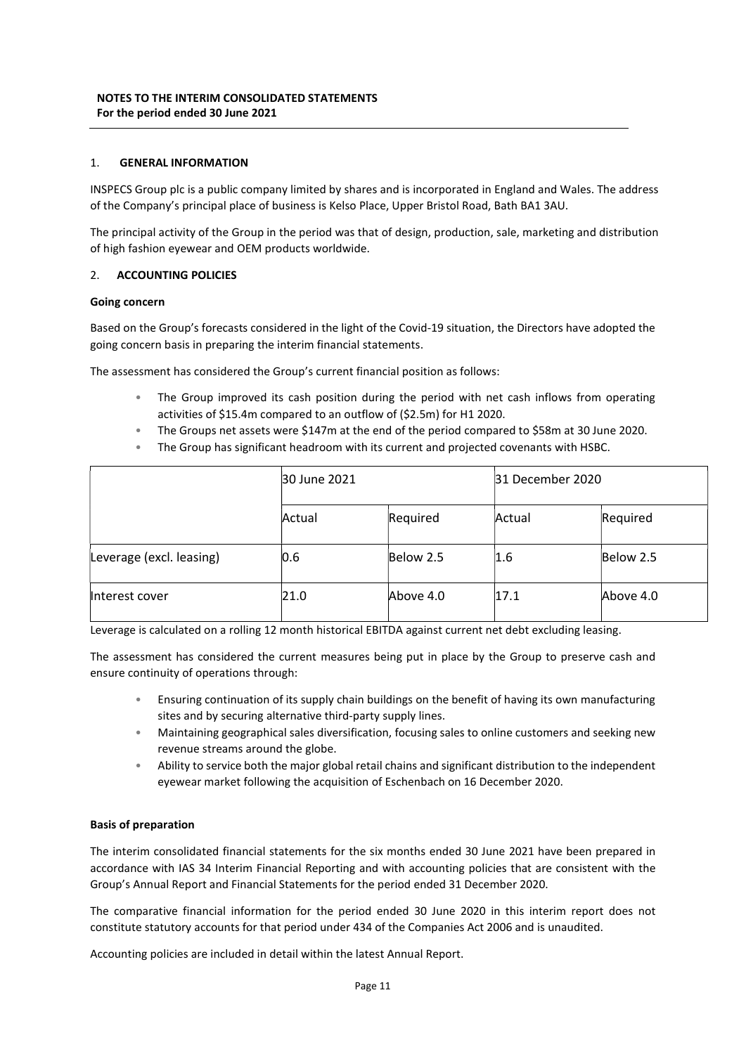## 1. GENERAL INFORMATION

INSPECS Group plc is a public company limited by shares and is incorporated in England and Wales. The address of the Company's principal place of business is Kelso Place, Upper Bristol Road, Bath BA1 3AU.

The principal activity of the Group in the period was that of design, production, sale, marketing and distribution of high fashion eyewear and OEM products worldwide.

## 2. ACCOUNTING POLICIES

## Going concern

Based on the Group's forecasts considered in the light of the Covid-19 situation, the Directors have adopted the going concern basis in preparing the interim financial statements.

The assessment has considered the Group's current financial position as follows:

- The Group improved its cash position during the period with net cash inflows from operating activities of \$15.4m compared to an outflow of (\$2.5m) for H1 2020.
- The Groups net assets were \$147m at the end of the period compared to \$58m at 30 June 2020.
- The Group has significant headroom with its current and projected covenants with HSBC.

|                          | 30 June 2021 |           | 31 December 2020 |           |
|--------------------------|--------------|-----------|------------------|-----------|
|                          | Actual       | Required  | Actual           | Required  |
| Leverage (excl. leasing) | 0.6          | Below 2.5 | 1.6              | Below 2.5 |
| Interest cover           | 21.0         | Above 4.0 | 17.1             | Above 4.0 |

Leverage is calculated on a rolling 12 month historical EBITDA against current net debt excluding leasing.

The assessment has considered the current measures being put in place by the Group to preserve cash and ensure continuity of operations through:

- Ensuring continuation of its supply chain buildings on the benefit of having its own manufacturing sites and by securing alternative third-party supply lines.
- Maintaining geographical sales diversification, focusing sales to online customers and seeking new revenue streams around the globe.
- Ability to service both the major global retail chains and significant distribution to the independent eyewear market following the acquisition of Eschenbach on 16 December 2020.

## Basis of preparation

The interim consolidated financial statements for the six months ended 30 June 2021 have been prepared in accordance with IAS 34 Interim Financial Reporting and with accounting policies that are consistent with the Group's Annual Report and Financial Statements for the period ended 31 December 2020.

The comparative financial information for the period ended 30 June 2020 in this interim report does not constitute statutory accounts for that period under 434 of the Companies Act 2006 and is unaudited.

Accounting policies are included in detail within the latest Annual Report.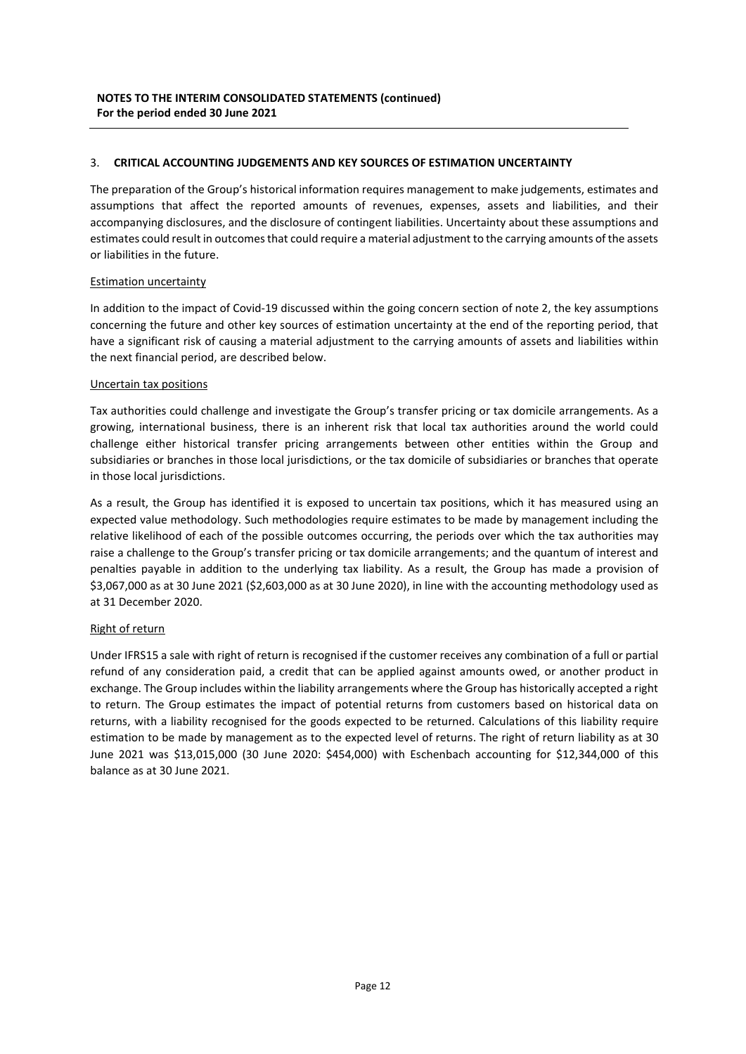## 3. CRITICAL ACCOUNTING JUDGEMENTS AND KEY SOURCES OF ESTIMATION UNCERTAINTY

The preparation of the Group's historical information requires management to make judgements, estimates and assumptions that affect the reported amounts of revenues, expenses, assets and liabilities, and their accompanying disclosures, and the disclosure of contingent liabilities. Uncertainty about these assumptions and estimates could result in outcomes that could require a material adjustment to the carrying amounts of the assets or liabilities in the future.

## Estimation uncertainty

In addition to the impact of Covid-19 discussed within the going concern section of note 2, the key assumptions concerning the future and other key sources of estimation uncertainty at the end of the reporting period, that have a significant risk of causing a material adjustment to the carrying amounts of assets and liabilities within the next financial period, are described below.

## Uncertain tax positions

Tax authorities could challenge and investigate the Group's transfer pricing or tax domicile arrangements. As a growing, international business, there is an inherent risk that local tax authorities around the world could challenge either historical transfer pricing arrangements between other entities within the Group and subsidiaries or branches in those local jurisdictions, or the tax domicile of subsidiaries or branches that operate in those local jurisdictions.

As a result, the Group has identified it is exposed to uncertain tax positions, which it has measured using an expected value methodology. Such methodologies require estimates to be made by management including the relative likelihood of each of the possible outcomes occurring, the periods over which the tax authorities may raise a challenge to the Group's transfer pricing or tax domicile arrangements; and the quantum of interest and penalties payable in addition to the underlying tax liability. As a result, the Group has made a provision of \$3,067,000 as at 30 June 2021 (\$2,603,000 as at 30 June 2020), in line with the accounting methodology used as at 31 December 2020.

## Right of return

Under IFRS15 a sale with right of return is recognised if the customer receives any combination of a full or partial refund of any consideration paid, a credit that can be applied against amounts owed, or another product in exchange. The Group includes within the liability arrangements where the Group has historically accepted a right to return. The Group estimates the impact of potential returns from customers based on historical data on returns, with a liability recognised for the goods expected to be returned. Calculations of this liability require estimation to be made by management as to the expected level of returns. The right of return liability as at 30 June 2021 was \$13,015,000 (30 June 2020: \$454,000) with Eschenbach accounting for \$12,344,000 of this balance as at 30 June 2021.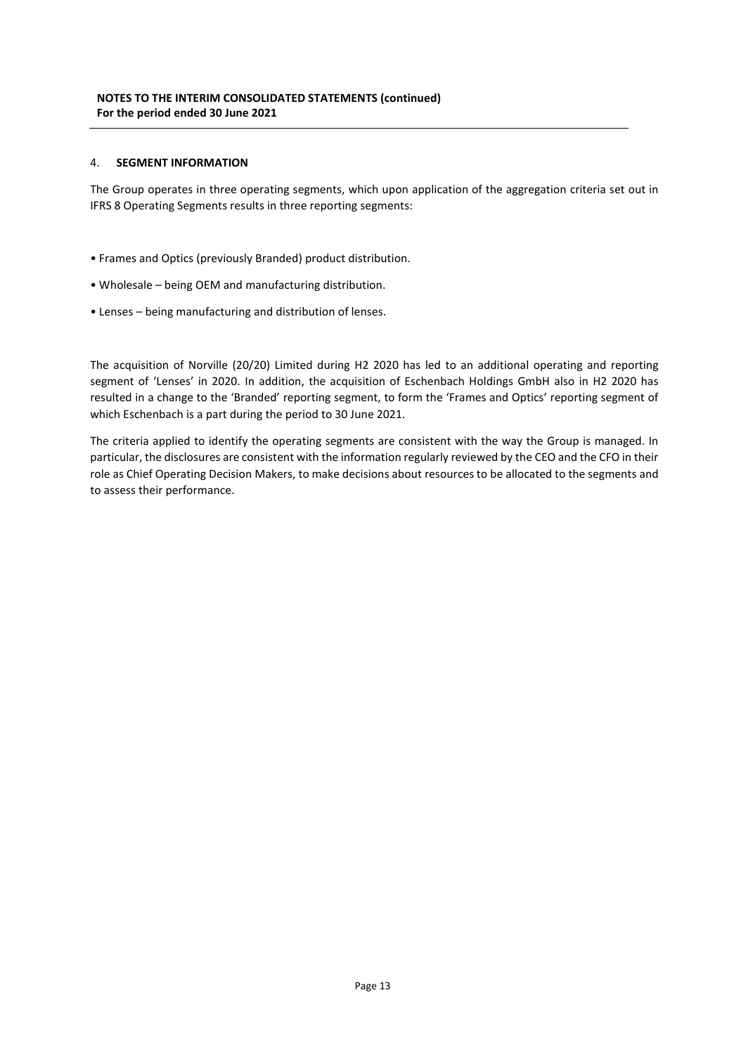## 4. SEGMENT INFORMATION

The Group operates in three operating segments, which upon application of the aggregation criteria set out in IFRS 8 Operating Segments results in three reporting segments:

- Frames and Optics (previously Branded) product distribution.
- Wholesale being OEM and manufacturing distribution.
- Lenses being manufacturing and distribution of lenses.

The acquisition of Norville (20/20) Limited during H2 2020 has led to an additional operating and reporting segment of 'Lenses' in 2020. In addition, the acquisition of Eschenbach Holdings GmbH also in H2 2020 has resulted in a change to the 'Branded' reporting segment, to form the 'Frames and Optics' reporting segment of which Eschenbach is a part during the period to 30 June 2021.

The criteria applied to identify the operating segments are consistent with the way the Group is managed. In particular, the disclosures are consistent with the information regularly reviewed by the CEO and the CFO in their role as Chief Operating Decision Makers, to make decisions about resources to be allocated to the segments and to assess their performance.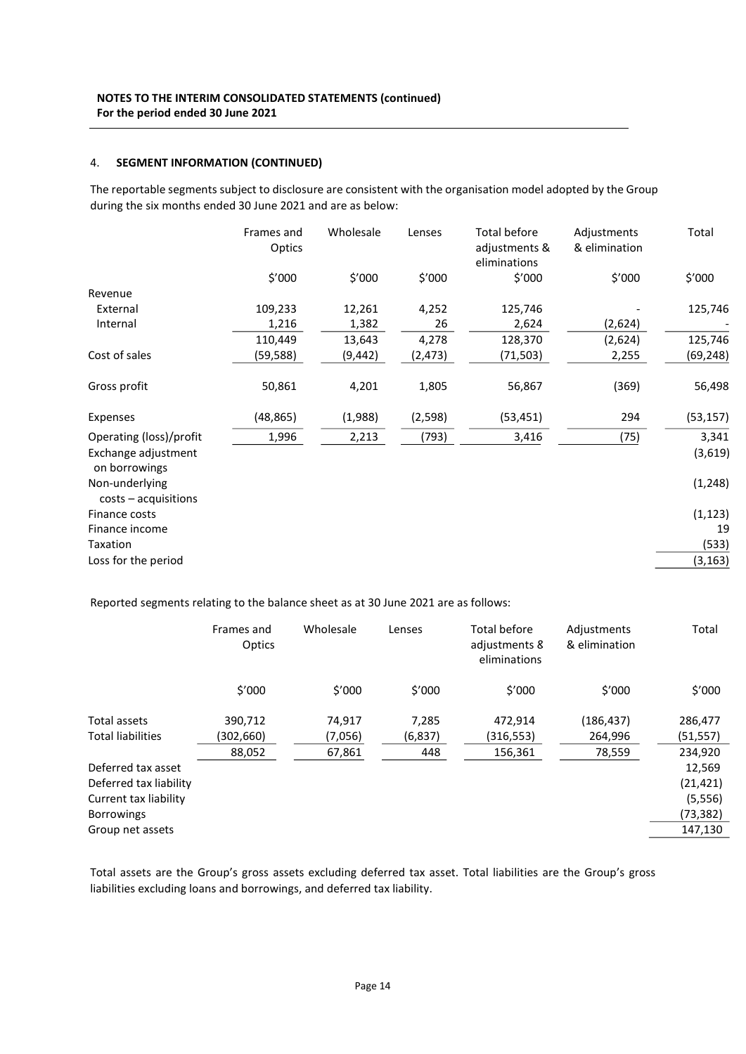## 4. SEGMENT INFORMATION (CONTINUED)

The reportable segments subject to disclosure are consistent with the organisation model adopted by the Group during the six months ended 30 June 2021 and are as below:

|                                          | Frames and<br>Optics | Wholesale | Lenses   | Total before<br>adjustments &<br>eliminations | Adjustments<br>& elimination | Total     |
|------------------------------------------|----------------------|-----------|----------|-----------------------------------------------|------------------------------|-----------|
|                                          | \$'000               | \$'000    | \$'000   | \$'000                                        | \$'000                       | \$'000    |
| Revenue                                  |                      |           |          |                                               |                              |           |
| External                                 | 109,233              | 12,261    | 4,252    | 125,746                                       |                              | 125,746   |
| Internal                                 | 1,216                | 1,382     | 26       | 2,624                                         | (2,624)                      |           |
|                                          | 110,449              | 13,643    | 4,278    | 128,370                                       | (2,624)                      | 125,746   |
| Cost of sales                            | (59,588)             | (9,442)   | (2, 473) | (71,503)                                      | 2,255                        | (69, 248) |
| Gross profit                             | 50,861               | 4,201     | 1,805    | 56,867                                        | (369)                        | 56,498    |
| Expenses                                 | (48, 865)            | (1,988)   | (2, 598) | (53, 451)                                     | 294                          | (53, 157) |
| Operating (loss)/profit                  | 1,996                | 2,213     | (793)    | 3,416                                         | (75)                         | 3,341     |
| Exchange adjustment<br>on borrowings     |                      |           |          |                                               |                              | (3,619)   |
| Non-underlying<br>$costs - acquisitions$ |                      |           |          |                                               |                              | (1, 248)  |
| Finance costs                            |                      |           |          |                                               |                              | (1, 123)  |
| Finance income                           |                      |           |          |                                               |                              | 19        |
| Taxation                                 |                      |           |          |                                               |                              | (533)     |
| Loss for the period                      |                      |           |          |                                               |                              | (3, 163)  |

Reported segments relating to the balance sheet as at 30 June 2021 are as follows:

|                          | Frames and<br>Optics | Wholesale | Lenses  | Total before<br>adjustments 8<br>eliminations | Adjustments<br>& elimination | Total     |
|--------------------------|----------------------|-----------|---------|-----------------------------------------------|------------------------------|-----------|
|                          | \$'000               | \$′000    | \$′000  | \$′000                                        | \$′000                       | \$'000    |
| Total assets             | 390,712              | 74,917    | 7,285   | 472,914                                       | (186, 437)                   | 286,477   |
| <b>Total liabilities</b> | (302,660)            | (7,056)   | (6,837) | (316,553)                                     | 264,996                      | (51, 557) |
|                          | 88.052               | 67,861    | 448     | 156.361                                       | 78,559                       | 234,920   |
| Deferred tax asset       |                      |           |         |                                               |                              | 12,569    |
| Deferred tax liability   |                      |           |         |                                               |                              | (21, 421) |
| Current tax liability    |                      |           |         |                                               |                              | (5, 556)  |
| <b>Borrowings</b>        |                      |           |         |                                               |                              | (73, 382) |
| Group net assets         |                      |           |         |                                               |                              | 147,130   |
|                          |                      |           |         |                                               |                              |           |

Total assets are the Group's gross assets excluding deferred tax asset. Total liabilities are the Group's gross liabilities excluding loans and borrowings, and deferred tax liability.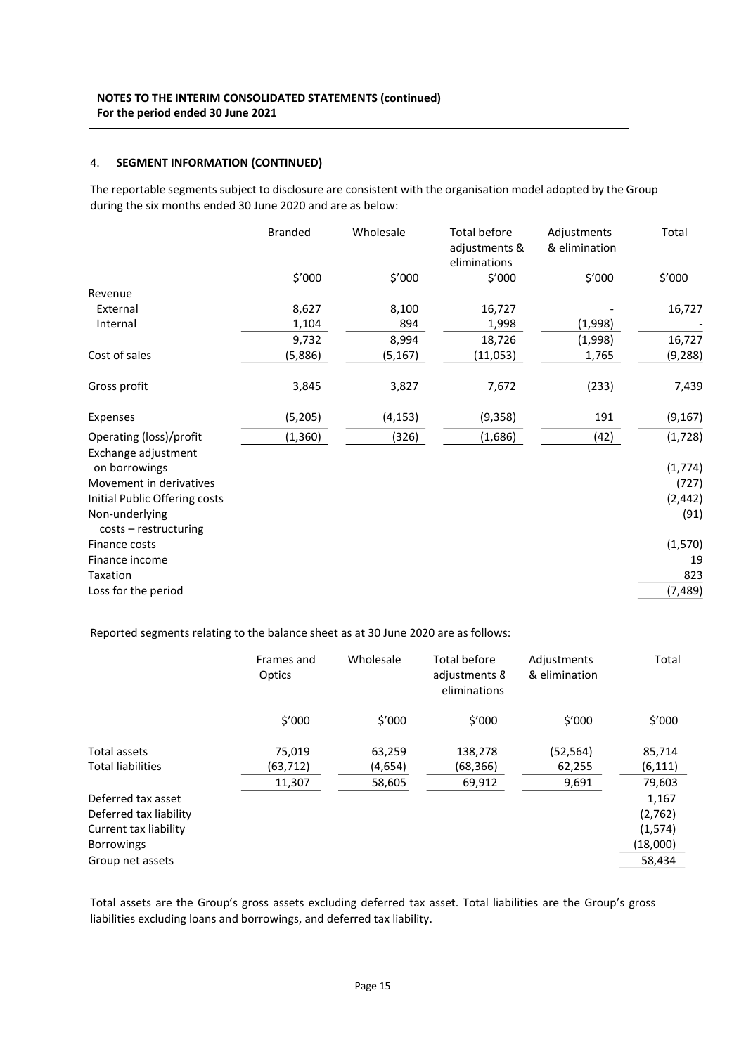## 4. SEGMENT INFORMATION (CONTINUED)

The reportable segments subject to disclosure are consistent with the organisation model adopted by the Group during the six months ended 30 June 2020 and are as below:

|                                         | <b>Branded</b> | Wholesale | <b>Total before</b><br>adjustments &<br>eliminations | Adjustments<br>& elimination | Total    |
|-----------------------------------------|----------------|-----------|------------------------------------------------------|------------------------------|----------|
|                                         | \$'000         | \$'000    | \$′000                                               | \$′000                       | \$'000   |
| Revenue                                 |                |           |                                                      |                              |          |
| External                                | 8,627          | 8,100     | 16,727                                               |                              | 16,727   |
| Internal                                | 1,104          | 894       | 1,998                                                | (1,998)                      |          |
|                                         | 9,732          | 8,994     | 18,726                                               | (1,998)                      | 16,727   |
| Cost of sales                           | (5,886)        | (5, 167)  | (11,053)                                             | 1,765                        | (9, 288) |
| Gross profit                            | 3,845          | 3,827     | 7,672                                                | (233)                        | 7,439    |
| Expenses                                | (5, 205)       | (4, 153)  | (9,358)                                              | 191                          | (9, 167) |
| Operating (loss)/profit                 | (1, 360)       | (326)     | (1,686)                                              | (42)                         | (1, 728) |
| Exchange adjustment<br>on borrowings    |                |           |                                                      |                              | (1, 774) |
| Movement in derivatives                 |                |           |                                                      |                              | (727)    |
| Initial Public Offering costs           |                |           |                                                      |                              | (2, 442) |
| Non-underlying<br>$costs - restructure$ |                |           |                                                      |                              | (91)     |
| Finance costs                           |                |           |                                                      |                              | (1, 570) |
| Finance income                          |                |           |                                                      |                              | 19       |
| Taxation                                |                |           |                                                      |                              | 823      |
| Loss for the period                     |                |           |                                                      |                              | (7, 489) |

Reported segments relating to the balance sheet as at 30 June 2020 are as follows:

|                          | Frames and<br>Optics | Wholesale | <b>Total before</b><br>adjustments 8<br>eliminations | Adjustments<br>& elimination | Total    |
|--------------------------|----------------------|-----------|------------------------------------------------------|------------------------------|----------|
|                          | \$'000               | \$′000    | \$'000                                               | \$'000                       | \$′000   |
| Total assets             | 75,019               | 63,259    | 138,278                                              | (52,564)                     | 85,714   |
| <b>Total liabilities</b> | (63,712)             | (4,654)   | (68,366)                                             | 62,255                       | (6, 111) |
|                          | 11,307               | 58,605    | 69,912                                               | 9,691                        | 79,603   |
| Deferred tax asset       |                      |           |                                                      |                              | 1,167    |
| Deferred tax liability   |                      |           |                                                      |                              | (2,762)  |
| Current tax liability    |                      |           |                                                      |                              | (1, 574) |
| <b>Borrowings</b>        |                      |           |                                                      |                              | (18,000) |
| Group net assets         |                      |           |                                                      |                              | 58,434   |

Total assets are the Group's gross assets excluding deferred tax asset. Total liabilities are the Group's gross liabilities excluding loans and borrowings, and deferred tax liability.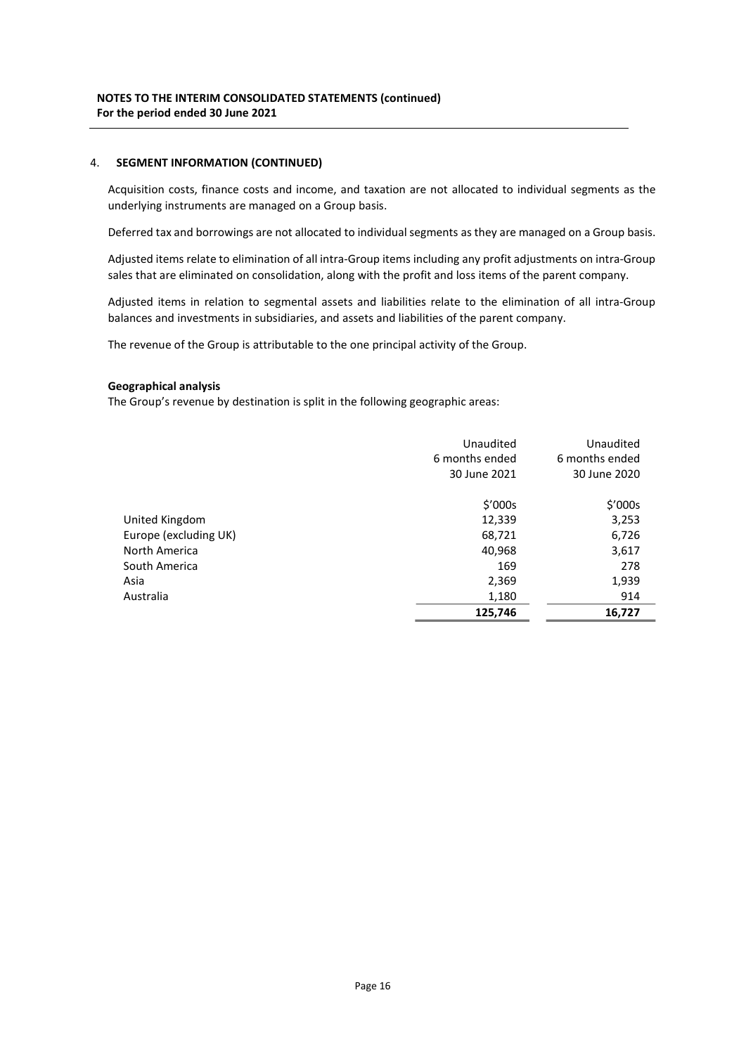## 4. SEGMENT INFORMATION (CONTINUED)

Acquisition costs, finance costs and income, and taxation are not allocated to individual segments as the underlying instruments are managed on a Group basis.

Deferred tax and borrowings are not allocated to individual segments as they are managed on a Group basis.

Adjusted items relate to elimination of all intra-Group items including any profit adjustments on intra-Group sales that are eliminated on consolidation, along with the profit and loss items of the parent company.

Adjusted items in relation to segmental assets and liabilities relate to the elimination of all intra-Group balances and investments in subsidiaries, and assets and liabilities of the parent company.

The revenue of the Group is attributable to the one principal activity of the Group.

### Geographical analysis

The Group's revenue by destination is split in the following geographic areas:

|                       | Unaudited<br>6 months ended<br>30 June 2021 | Unaudited<br>6 months ended<br>30 June 2020 |
|-----------------------|---------------------------------------------|---------------------------------------------|
|                       | \$′000s                                     | \$′000s                                     |
| United Kingdom        | 12,339                                      | 3,253                                       |
| Europe (excluding UK) | 68,721                                      | 6,726                                       |
| North America         | 40,968                                      | 3,617                                       |
| South America         | 169                                         | 278                                         |
| Asia                  | 2,369                                       | 1,939                                       |
| Australia             | 1,180                                       | 914                                         |
|                       | 125,746                                     | 16,727                                      |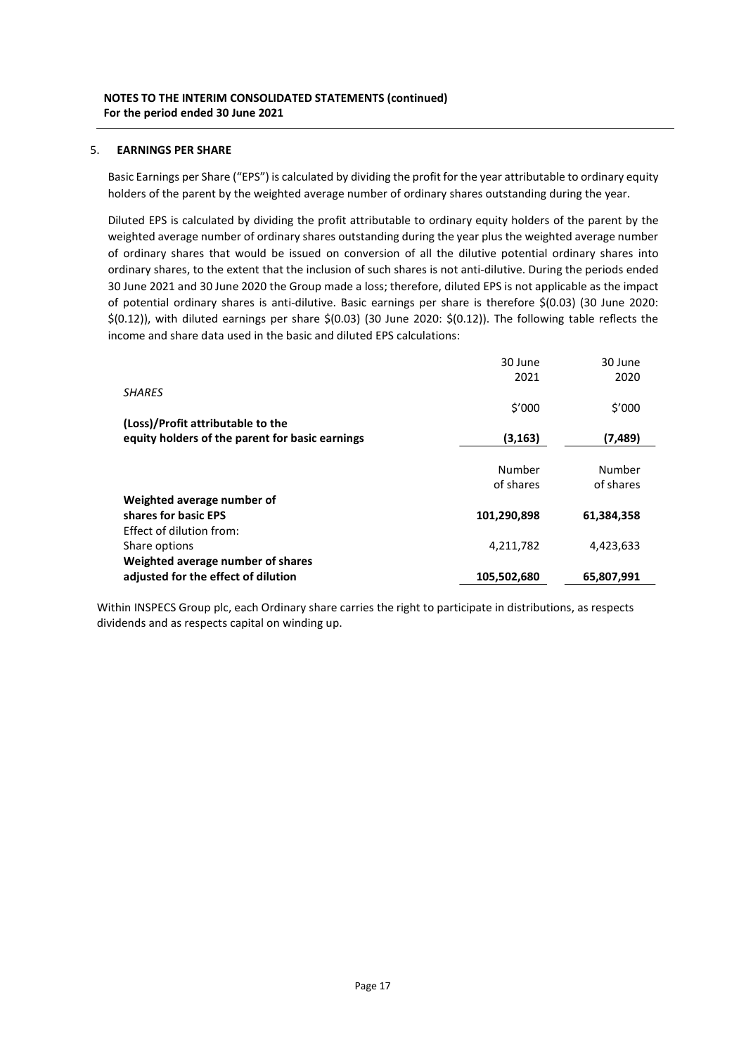## 5. EARNINGS PER SHARE

Basic Earnings per Share ("EPS") is calculated by dividing the profit for the year attributable to ordinary equity holders of the parent by the weighted average number of ordinary shares outstanding during the year.

Diluted EPS is calculated by dividing the profit attributable to ordinary equity holders of the parent by the weighted average number of ordinary shares outstanding during the year plus the weighted average number of ordinary shares that would be issued on conversion of all the dilutive potential ordinary shares into ordinary shares, to the extent that the inclusion of such shares is not anti-dilutive. During the periods ended 30 June 2021 and 30 June 2020 the Group made a loss; therefore, diluted EPS is not applicable as the impact of potential ordinary shares is anti-dilutive. Basic earnings per share is therefore \$(0.03) (30 June 2020: \$(0.12)), with diluted earnings per share \$(0.03) (30 June 2020: \$(0.12)). The following table reflects the income and share data used in the basic and diluted EPS calculations:

|                                                 | 30 June     | 30 June    |
|-------------------------------------------------|-------------|------------|
|                                                 | 2021        | 2020       |
| <b>SHARES</b>                                   |             |            |
|                                                 | \$′000      | \$′000     |
| (Loss)/Profit attributable to the               |             |            |
| equity holders of the parent for basic earnings | (3,163)     | (7,489)    |
|                                                 |             |            |
|                                                 | Number      | Number     |
|                                                 | of shares   | of shares  |
| Weighted average number of                      |             |            |
| shares for basic EPS                            | 101,290,898 | 61,384,358 |
| Effect of dilution from:                        |             |            |
| Share options                                   | 4,211,782   | 4,423,633  |
| Weighted average number of shares               |             |            |
| adjusted for the effect of dilution             | 105,502,680 | 65,807,991 |

Within INSPECS Group plc, each Ordinary share carries the right to participate in distributions, as respects dividends and as respects capital on winding up.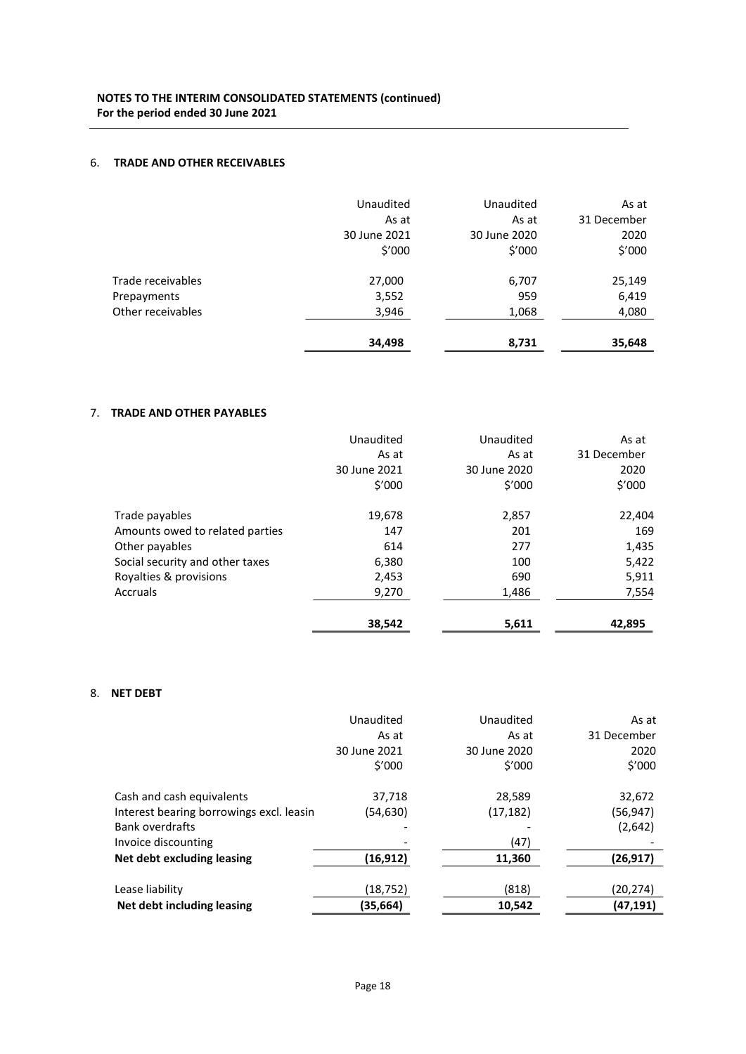## 6. TRADE AND OTHER RECEIVABLES

|                   | Unaudited<br>As at     | Unaudited<br>As at     | As at<br>31 December |
|-------------------|------------------------|------------------------|----------------------|
|                   | 30 June 2021<br>\$′000 | 30 June 2020<br>\$′000 | 2020<br>\$'000       |
| Trade receivables | 27,000                 | 6,707                  | 25,149               |
| Prepayments       | 3,552                  | 959                    | 6,419                |
| Other receivables | 3,946                  | 1,068                  | 4,080                |
|                   | 34,498                 | 8,731                  | 35,648               |

## 7. TRADE AND OTHER PAYABLES

|                                 | Unaudited    | Unaudited    | As at       |
|---------------------------------|--------------|--------------|-------------|
|                                 | As at        | As at        | 31 December |
|                                 | 30 June 2021 | 30 June 2020 | 2020        |
|                                 | \$′000       | \$′000       | \$′000      |
| Trade payables                  | 19,678       | 2,857        | 22,404      |
| Amounts owed to related parties | 147          | 201          | 169         |
| Other payables                  | 614          | 277          | 1,435       |
| Social security and other taxes | 6,380        | 100          | 5,422       |
| Royalties & provisions          | 2,453        | 690          | 5,911       |
| Accruals                        | 9,270        | 1,486        | 7,554       |
|                                 | 38,542       | 5,611        | 42,895      |

## 8. NET DEBT

|                                          | Unaudited    | Unaudited    | As at       |
|------------------------------------------|--------------|--------------|-------------|
|                                          | As at        | As at        | 31 December |
|                                          | 30 June 2021 | 30 June 2020 | 2020        |
|                                          | \$′000       | \$′000       | \$′000      |
| Cash and cash equivalents                | 37,718       | 28,589       | 32,672      |
| Interest bearing borrowings excl. leasin | (54,630)     | (17, 182)    | (56, 947)   |
| <b>Bank overdrafts</b>                   |              |              | (2,642)     |
| Invoice discounting                      |              | (47)         |             |
| Net debt excluding leasing               | (16,912)     | 11,360       | (26, 917)   |
| Lease liability                          | (18,752)     | (818)        | (20, 274)   |
|                                          |              |              |             |
| Net debt including leasing               | (35,664)     | 10,542       | (47,191)    |